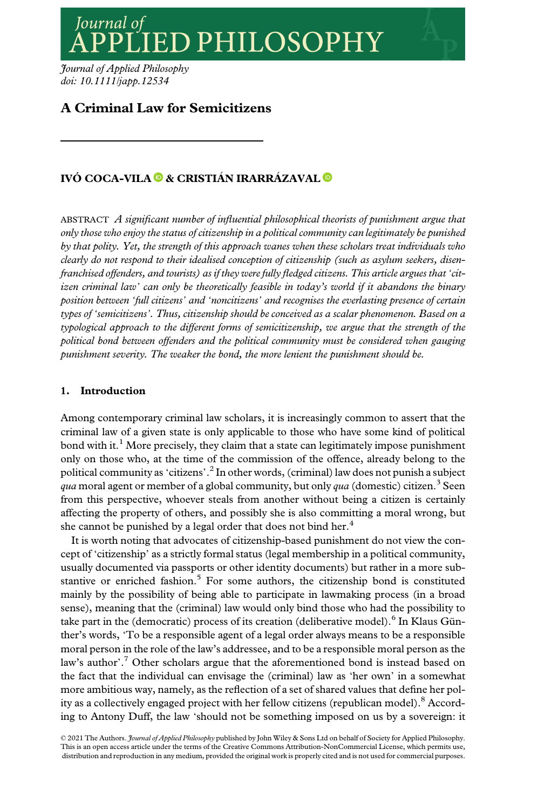Journal of **ED PHILOSOPHY** 

Journal of Applied Philosophy doi: 10.1111/japp.12534

# A Criminal Law for Semicitizens

## IVÓ COCA-VILA <sup>®</sup> & CRISTIÁN IRARRÁZAVAL <sup>®</sup>

ABSTRACT A significant number of influential philosophical theorists of punishment argue that only those who enjoy the status of citizenship in a political community can legitimately be punished by that polity. Yet, the strength of this approach wanes when these scholars treat individuals who clearly do not respond to their idealised conception of citizenship (such as asylum seekers, disenfranchised offenders, and tourists) as if they were fully fledged citizens. This article argues that 'citizen criminal law' can only be theoretically feasible in today's world if it abandons the binary position between 'full citizens' and 'noncitizens' and recognises the everlasting presence of certain types of 'semicitizens'. Thus, citizenship should be conceived as a scalar phenomenon. Based on a typological approach to the different forms of semicitizenship, we argue that the strength of the political bond between offenders and the political community must be considered when gauging punishment severity. The weaker the bond, the more lenient the punishment should be.

## 1. Introduction

Among contemporary criminal law scholars, it is increasingly common to assert that the criminal law of a given state is only applicable to those who have some kind of political bond with it.<sup>1</sup> More precisely, they claim that a state can legitimately impose punishment only on those who, at the time of the commission of the offence, already belong to the political community as 'citizens'. $^2$  In other words, (criminal) law does not punish a subject qua moral agent or member of a global community, but only qua (domestic) citizen.<sup>3</sup> Seen from this perspective, whoever steals from another without being a citizen is certainly affecting the property of others, and possibly she is also committing a moral wrong, but she cannot be punished by a legal order that does not bind her.<sup>4</sup>

It is worth noting that advocates of citizenship-based punishment do not view the concept of 'citizenship' as a strictly formal status (legal membership in a political community, usually documented via passports or other identity documents) but rather in a more substantive or enriched fashion. $5$  For some authors, the citizenship bond is constituted mainly by the possibility of being able to participate in lawmaking process (in a broad sense), meaning that the (criminal) law would only bind those who had the possibility to take part in the (democratic) process of its creation (deliberative model).<sup>6</sup> In Klaus Günther's words, 'To be a responsible agent of a legal order always means to be a responsible moral person in the role of the law's addressee, and to be a responsible moral person as the law's author'.<sup>7</sup> Other scholars argue that the aforementioned bond is instead based on the fact that the individual can envisage the (criminal) law as 'her own' in a somewhat more ambitious way, namely, as the reflection of a set of shared values that define her polity as a collectively engaged project with her fellow citizens (republican model).<sup>8</sup> According to Antony Duff, the law 'should not be something imposed on us by a sovereign: it

© 2021 The Authors. *Journal of Applied Philosophy* published by John Wiley & Sons Ltd on behalf of Society for Applied Philosophy. This is an open access article under the terms of the [Creative Commons Attribution-NonCommercial](http://creativecommons.org/licenses/by-nc/4.0/) License, which permits use, distribution and reproduction in any medium, provided the original work is properly cited and is not used for commercial purposes.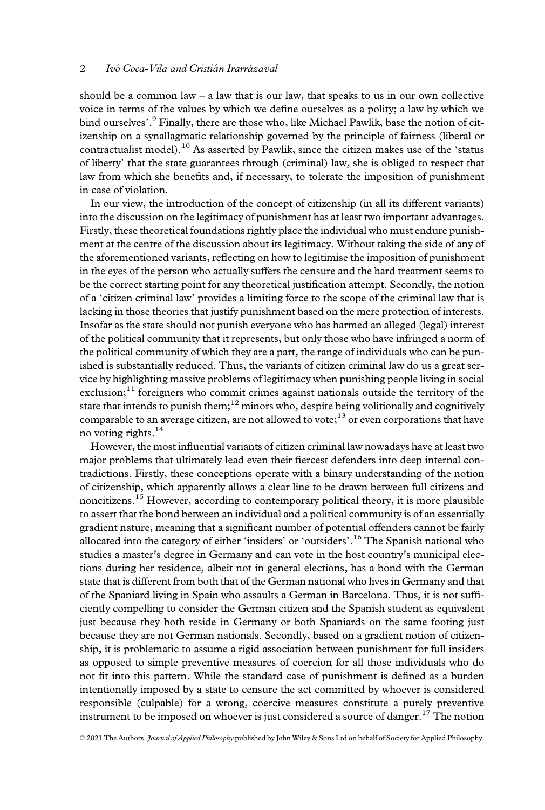should be a common law – a law that is our law, that speaks to us in our own collective voice in terms of the values by which we define ourselves as a polity; a law by which we bind ourselves'. <sup>9</sup> Finally, there are those who, like Michael Pawlik, base the notion of citizenship on a synallagmatic relationship governed by the principle of fairness (liberal or contractualist model).<sup>10</sup> As asserted by Pawlik, since the citizen makes use of the 'status of liberty' that the state guarantees through (criminal) law, she is obliged to respect that law from which she benefits and, if necessary, to tolerate the imposition of punishment in case of violation.

In our view, the introduction of the concept of citizenship (in all its different variants) into the discussion on the legitimacy of punishment has at least two important advantages. Firstly, these theoretical foundations rightly place the individual who must endure punishment at the centre of the discussion about its legitimacy. Without taking the side of any of the aforementioned variants, reflecting on how to legitimise the imposition of punishment in the eyes of the person who actually suffers the censure and the hard treatment seems to be the correct starting point for any theoretical justification attempt. Secondly, the notion of a 'citizen criminal law' provides a limiting force to the scope of the criminal law that is lacking in those theories that justify punishment based on the mere protection of interests. Insofar as the state should not punish everyone who has harmed an alleged (legal) interest of the political community that it represents, but only those who have infringed a norm of the political community of which they are a part, the range of individuals who can be punished is substantially reduced. Thus, the variants of citizen criminal law do us a great service by highlighting massive problems of legitimacy when punishing people living in social exclusion; $11$  foreigners who commit crimes against nationals outside the territory of the state that intends to punish them;<sup>12</sup> minors who, despite being volitionally and cognitively comparable to an average citizen, are not allowed to vote;<sup>13</sup> or even corporations that have no voting rights.<sup>14</sup>

However, the most influential variants of citizen criminal law nowadays have at least two major problems that ultimately lead even their fiercest defenders into deep internal contradictions. Firstly, these conceptions operate with a binary understanding of the notion of citizenship, which apparently allows a clear line to be drawn between full citizens and noncitizens.<sup>15</sup> However, according to contemporary political theory, it is more plausible to assert that the bond between an individual and a political community is of an essentially gradient nature, meaning that a significant number of potential offenders cannot be fairly allocated into the category of either 'insiders' or 'outsiders'.<sup>16</sup> The Spanish national who studies a master's degree in Germany and can vote in the host country's municipal elections during her residence, albeit not in general elections, has a bond with the German state that is different from both that of the German national who lives in Germany and that of the Spaniard living in Spain who assaults a German in Barcelona. Thus, it is not sufficiently compelling to consider the German citizen and the Spanish student as equivalent just because they both reside in Germany or both Spaniards on the same footing just because they are not German nationals. Secondly, based on a gradient notion of citizenship, it is problematic to assume a rigid association between punishment for full insiders as opposed to simple preventive measures of coercion for all those individuals who do not fit into this pattern. While the standard case of punishment is defined as a burden intentionally imposed by a state to censure the act committed by whoever is considered responsible (culpable) for a wrong, coercive measures constitute a purely preventive instrument to be imposed on whoever is just considered a source of danger.<sup>17</sup> The notion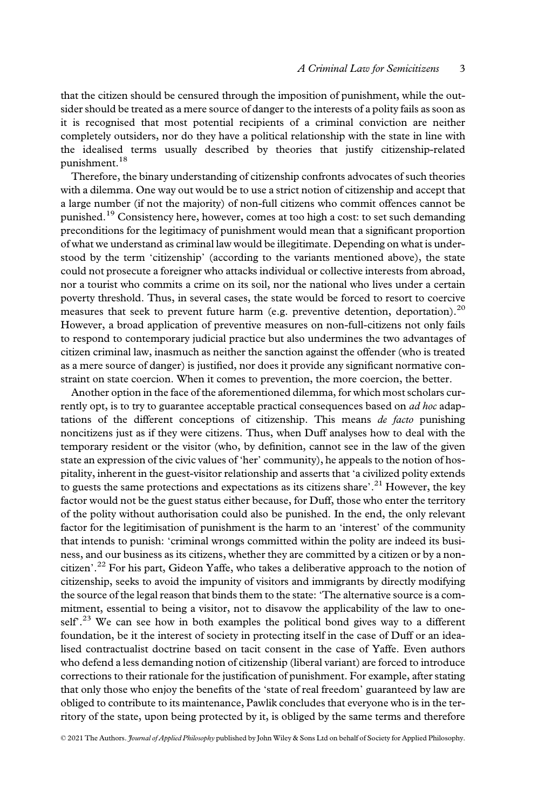that the citizen should be censured through the imposition of punishment, while the outsider should be treated as a mere source of danger to the interests of a polity fails as soon as it is recognised that most potential recipients of a criminal conviction are neither completely outsiders, nor do they have a political relationship with the state in line with the idealised terms usually described by theories that justify citizenship-related punishment.<sup>18</sup>

Therefore, the binary understanding of citizenship confronts advocates of such theories with a dilemma. One way out would be to use a strict notion of citizenship and accept that a large number (if not the majority) of non-full citizens who commit offences cannot be punished.<sup>19</sup> Consistency here, however, comes at too high a cost: to set such demanding preconditions for the legitimacy of punishment would mean that a significant proportion of what we understand as criminal law would be illegitimate. Depending on what is understood by the term 'citizenship' (according to the variants mentioned above), the state could not prosecute a foreigner who attacks individual or collective interests from abroad, nor a tourist who commits a crime on its soil, nor the national who lives under a certain poverty threshold. Thus, in several cases, the state would be forced to resort to coercive measures that seek to prevent future harm (e.g. preventive detention, deportation).<sup>20</sup> However, a broad application of preventive measures on non-full-citizens not only fails to respond to contemporary judicial practice but also undermines the two advantages of citizen criminal law, inasmuch as neither the sanction against the offender (who is treated as a mere source of danger) is justified, nor does it provide any significant normative constraint on state coercion. When it comes to prevention, the more coercion, the better.

Another option in the face of the aforementioned dilemma, for which most scholars currently opt, is to try to guarantee acceptable practical consequences based on *ad hoc* adaptations of the different conceptions of citizenship. This means de facto punishing noncitizens just as if they were citizens. Thus, when Duff analyses how to deal with the temporary resident or the visitor (who, by definition, cannot see in the law of the given state an expression of the civic values of 'her' community), he appeals to the notion of hospitality, inherent in the guest-visitor relationship and asserts that 'a civilized polity extends to guests the same protections and expectations as its citizens share'.<sup>21</sup> However, the key factor would not be the guest status either because, for Duff, those who enter the territory of the polity without authorisation could also be punished. In the end, the only relevant factor for the legitimisation of punishment is the harm to an 'interest' of the community that intends to punish: 'criminal wrongs committed within the polity are indeed its business, and our business as its citizens, whether they are committed by a citizen or by a noncitizen'. <sup>22</sup> For his part, Gideon Yaffe, who takes a deliberative approach to the notion of citizenship, seeks to avoid the impunity of visitors and immigrants by directly modifying the source of the legal reason that binds them to the state: 'The alternative source is a commitment, essential to being a visitor, not to disavow the applicability of the law to oneself<sup>23</sup> We can see how in both examples the political bond gives way to a different foundation, be it the interest of society in protecting itself in the case of Duff or an idealised contractualist doctrine based on tacit consent in the case of Yaffe. Even authors who defend a less demanding notion of citizenship (liberal variant) are forced to introduce corrections to their rationale for the justification of punishment. For example, after stating that only those who enjoy the benefits of the 'state of real freedom' guaranteed by law are obliged to contribute to its maintenance, Pawlik concludes that everyone who is in the territory of the state, upon being protected by it, is obliged by the same terms and therefore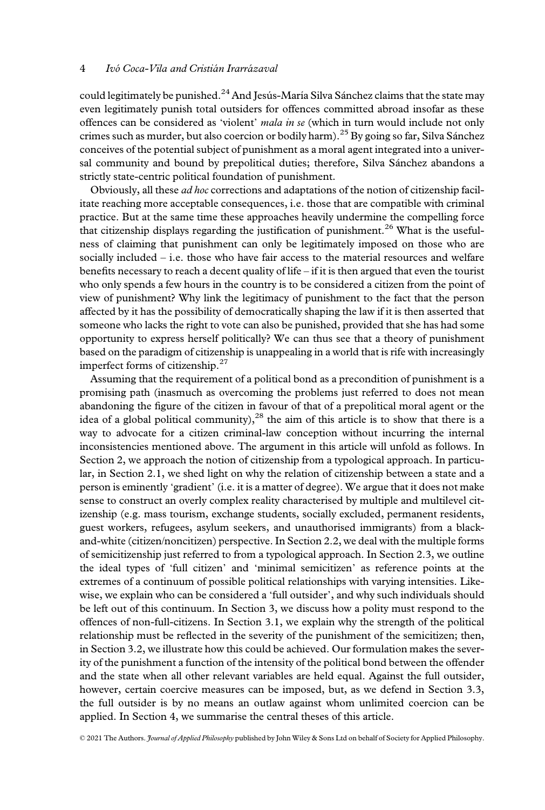could legitimately be punished.<sup>24</sup> And Jesús-María Silva Sánchez claims that the state may even legitimately punish total outsiders for offences committed abroad insofar as these offences can be considered as 'violent' mala in se (which in turn would include not only crimes such as murder, but also coercion or bodily harm).<sup>25</sup> By going so far, Silva Sánchez conceives of the potential subject of punishment as a moral agent integrated into a universal community and bound by prepolitical duties; therefore, Silva Sanchez abandons a strictly state-centric political foundation of punishment.

Obviously, all these ad hoc corrections and adaptations of the notion of citizenship facilitate reaching more acceptable consequences, i.e. those that are compatible with criminal practice. But at the same time these approaches heavily undermine the compelling force that citizenship displays regarding the justification of punishment.<sup>26</sup> What is the usefulness of claiming that punishment can only be legitimately imposed on those who are socially included – i.e. those who have fair access to the material resources and welfare benefits necessary to reach a decent quality of life – if it is then argued that even the tourist who only spends a few hours in the country is to be considered a citizen from the point of view of punishment? Why link the legitimacy of punishment to the fact that the person affected by it has the possibility of democratically shaping the law if it is then asserted that someone who lacks the right to vote can also be punished, provided that she has had some opportunity to express herself politically? We can thus see that a theory of punishment based on the paradigm of citizenship is unappealing in a world that is rife with increasingly imperfect forms of citizenship.<sup>27</sup>

Assuming that the requirement of a political bond as a precondition of punishment is a promising path (inasmuch as overcoming the problems just referred to does not mean abandoning the figure of the citizen in favour of that of a prepolitical moral agent or the idea of a global political community), $^{28}$  the aim of this article is to show that there is a way to advocate for a citizen criminal-law conception without incurring the internal inconsistencies mentioned above. The argument in this article will unfold as follows. In Section 2, we approach the notion of citizenship from a typological approach. In particular, in Section 2.1, we shed light on why the relation of citizenship between a state and a person is eminently 'gradient' (i.e. it is a matter of degree). We argue that it does not make sense to construct an overly complex reality characterised by multiple and multilevel citizenship (e.g. mass tourism, exchange students, socially excluded, permanent residents, guest workers, refugees, asylum seekers, and unauthorised immigrants) from a blackand-white (citizen/noncitizen) perspective. In Section 2.2, we deal with the multiple forms of semicitizenship just referred to from a typological approach. In Section 2.3, we outline the ideal types of 'full citizen' and 'minimal semicitizen' as reference points at the extremes of a continuum of possible political relationships with varying intensities. Likewise, we explain who can be considered a 'full outsider', and why such individuals should be left out of this continuum. In Section 3, we discuss how a polity must respond to the offences of non-full-citizens. In Section 3.1, we explain why the strength of the political relationship must be reflected in the severity of the punishment of the semicitizen; then, in Section 3.2, we illustrate how this could be achieved. Our formulation makes the severity of the punishment a function of the intensity of the political bond between the offender and the state when all other relevant variables are held equal. Against the full outsider, however, certain coercive measures can be imposed, but, as we defend in Section 3.3, the full outsider is by no means an outlaw against whom unlimited coercion can be applied. In Section 4, we summarise the central theses of this article.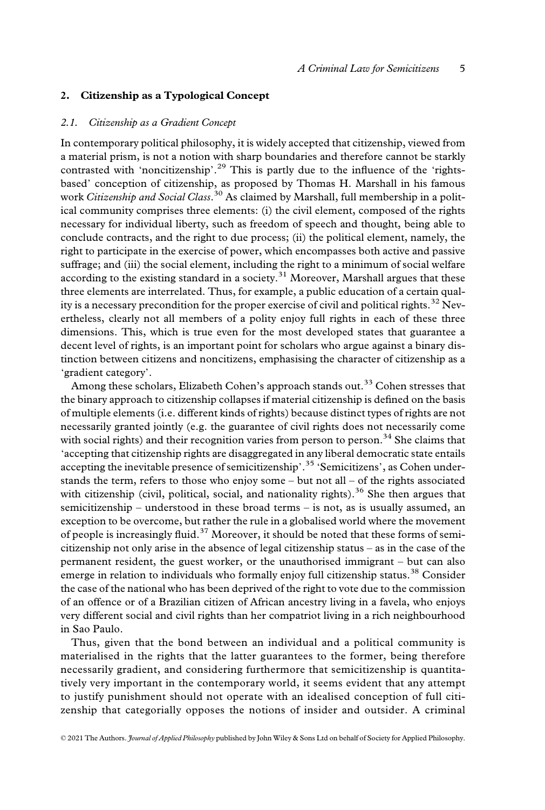#### 2. Citizenship as a Typological Concept

#### 2.1. Citizenship as a Gradient Concept

In contemporary political philosophy, it is widely accepted that citizenship, viewed from a material prism, is not a notion with sharp boundaries and therefore cannot be starkly contrasted with 'noncitizenship'.<sup>29</sup> This is partly due to the influence of the 'rightsbased' conception of citizenship, as proposed by Thomas H. Marshall in his famous work *Citizenship and Social Class*.<sup>30</sup> As claimed by Marshall, full membership in a political community comprises three elements: (i) the civil element, composed of the rights necessary for individual liberty, such as freedom of speech and thought, being able to conclude contracts, and the right to due process; (ii) the political element, namely, the right to participate in the exercise of power, which encompasses both active and passive suffrage; and (iii) the social element, including the right to a minimum of social welfare according to the existing standard in a society.<sup>31</sup> Moreover, Marshall argues that these three elements are interrelated. Thus, for example, a public education of a certain quality is a necessary precondition for the proper exercise of civil and political rights.<sup>32</sup> Nevertheless, clearly not all members of a polity enjoy full rights in each of these three dimensions. This, which is true even for the most developed states that guarantee a decent level of rights, is an important point for scholars who argue against a binary distinction between citizens and noncitizens, emphasising the character of citizenship as a 'gradient category'.

Among these scholars, Elizabeth Cohen's approach stands out.<sup>33</sup> Cohen stresses that the binary approach to citizenship collapses if material citizenship is defined on the basis of multiple elements (i.e. different kinds of rights) because distinct types of rights are not necessarily granted jointly (e.g. the guarantee of civil rights does not necessarily come with social rights) and their recognition varies from person to person.<sup>34</sup> She claims that 'accepting that citizenship rights are disaggregated in any liberal democratic state entails accepting the inevitable presence of semicitizenship'.<sup>35</sup> 'Semicitizens', as Cohen understands the term, refers to those who enjoy some – but not all – of the rights associated with citizenship (civil, political, social, and nationality rights).<sup>36</sup> She then argues that semicitizenship – understood in these broad terms – is not, as is usually assumed, an exception to be overcome, but rather the rule in a globalised world where the movement of people is increasingly fluid.<sup>37</sup> Moreover, it should be noted that these forms of semicitizenship not only arise in the absence of legal citizenship status – as in the case of the permanent resident, the guest worker, or the unauthorised immigrant – but can also emerge in relation to individuals who formally enjoy full citizenship status.<sup>38</sup> Consider the case of the national who has been deprived of the right to vote due to the commission of an offence or of a Brazilian citizen of African ancestry living in a favela, who enjoys very different social and civil rights than her compatriot living in a rich neighbourhood in Sao Paulo.

Thus, given that the bond between an individual and a political community is materialised in the rights that the latter guarantees to the former, being therefore necessarily gradient, and considering furthermore that semicitizenship is quantitatively very important in the contemporary world, it seems evident that any attempt to justify punishment should not operate with an idealised conception of full citizenship that categorially opposes the notions of insider and outsider. A criminal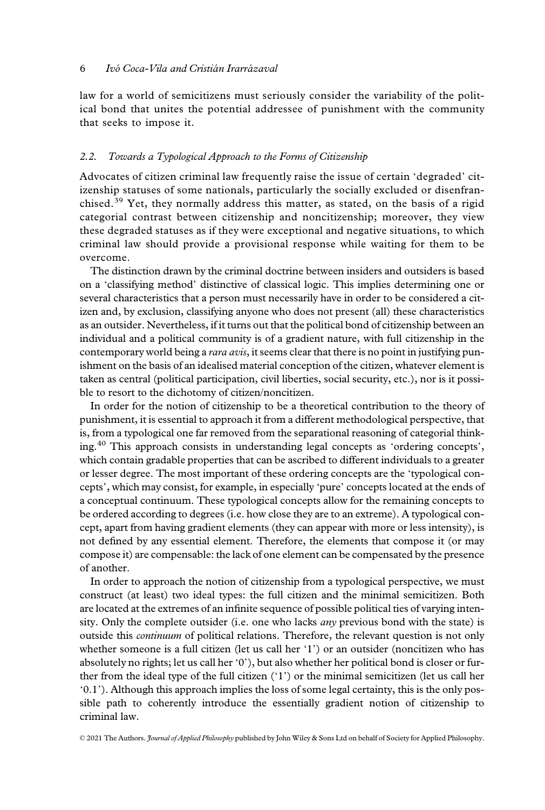law for a world of semicitizens must seriously consider the variability of the political bond that unites the potential addressee of punishment with the community that seeks to impose it.

## 2.2. Towards a Typological Approach to the Forms of Citizenship

Advocates of citizen criminal law frequently raise the issue of certain 'degraded' citizenship statuses of some nationals, particularly the socially excluded or disenfranchised.<sup>39</sup> Yet, they normally address this matter, as stated, on the basis of a rigid categorial contrast between citizenship and noncitizenship; moreover, they view these degraded statuses as if they were exceptional and negative situations, to which criminal law should provide a provisional response while waiting for them to be overcome.

The distinction drawn by the criminal doctrine between insiders and outsiders is based on a 'classifying method' distinctive of classical logic. This implies determining one or several characteristics that a person must necessarily have in order to be considered a citizen and, by exclusion, classifying anyone who does not present (all) these characteristics as an outsider. Nevertheless, if it turns out that the political bond of citizenship between an individual and a political community is of a gradient nature, with full citizenship in the contemporary world being a rara avis, it seems clear that there is no point in justifying punishment on the basis of an idealised material conception of the citizen, whatever element is taken as central (political participation, civil liberties, social security, etc.), nor is it possible to resort to the dichotomy of citizen/noncitizen.

In order for the notion of citizenship to be a theoretical contribution to the theory of punishment, it is essential to approach it from a different methodological perspective, that is, from a typological one far removed from the separational reasoning of categorial thinking.<sup>40</sup> This approach consists in understanding legal concepts as 'ordering concepts', which contain gradable properties that can be ascribed to different individuals to a greater or lesser degree. The most important of these ordering concepts are the 'typological concepts', which may consist, for example, in especially 'pure' concepts located at the ends of a conceptual continuum. These typological concepts allow for the remaining concepts to be ordered according to degrees (i.e. how close they are to an extreme). A typological concept, apart from having gradient elements (they can appear with more or less intensity), is not defined by any essential element. Therefore, the elements that compose it (or may compose it) are compensable: the lack of one element can be compensated by the presence of another.

In order to approach the notion of citizenship from a typological perspective, we must construct (at least) two ideal types: the full citizen and the minimal semicitizen. Both are located at the extremes of an infinite sequence of possible political ties of varying intensity. Only the complete outsider (i.e. one who lacks *any* previous bond with the state) is outside this *continuum* of political relations. Therefore, the relevant question is not only whether someone is a full citizen (let us call her '1') or an outsider (noncitizen who has absolutely no rights; let us call her '0'), but also whether her political bond is closer or further from the ideal type of the full citizen ('1') or the minimal semicitizen (let us call her '0.1'). Although this approach implies the loss of some legal certainty, this is the only possible path to coherently introduce the essentially gradient notion of citizenship to criminal law.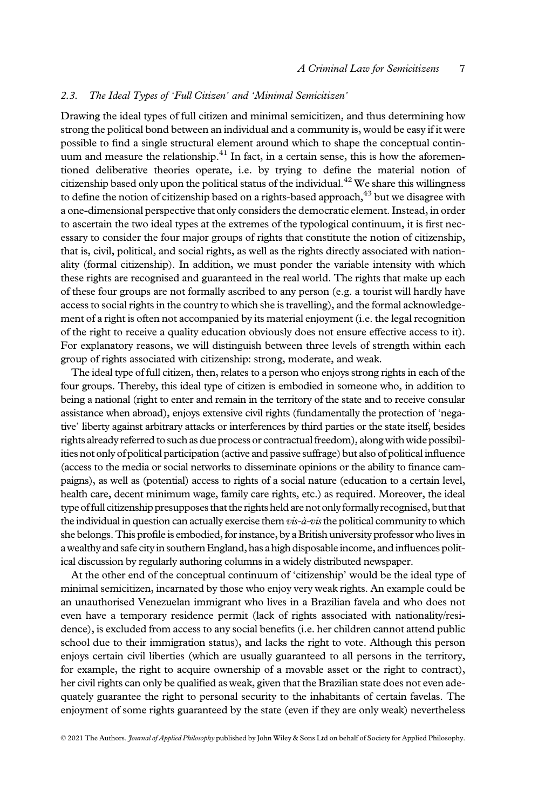### 2.3. The Ideal Types of 'Full Citizen' and 'Minimal Semicitizen'

Drawing the ideal types of full citizen and minimal semicitizen, and thus determining how strong the political bond between an individual and a community is, would be easy if it were possible to find a single structural element around which to shape the conceptual continuum and measure the relationship.<sup>41</sup> In fact, in a certain sense, this is how the aforementioned deliberative theories operate, i.e. by trying to define the material notion of citizenship based only upon the political status of the individual.<sup>42</sup> We share this willingness to define the notion of citizenship based on a rights-based approach, $^{43}$  but we disagree with a one-dimensional perspective that only considers the democratic element. Instead, in order to ascertain the two ideal types at the extremes of the typological continuum, it is first necessary to consider the four major groups of rights that constitute the notion of citizenship, that is, civil, political, and social rights, as well as the rights directly associated with nationality (formal citizenship). In addition, we must ponder the variable intensity with which these rights are recognised and guaranteed in the real world. The rights that make up each of these four groups are not formally ascribed to any person (e.g. a tourist will hardly have access to social rights in the country to which she is travelling), and the formal acknowledgement of a right is often not accompanied by its material enjoyment (i.e. the legal recognition of the right to receive a quality education obviously does not ensure effective access to it). For explanatory reasons, we will distinguish between three levels of strength within each group of rights associated with citizenship: strong, moderate, and weak.

The ideal type of full citizen, then, relates to a person who enjoys strong rights in each of the four groups. Thereby, this ideal type of citizen is embodied in someone who, in addition to being a national (right to enter and remain in the territory of the state and to receive consular assistance when abroad), enjoys extensive civil rights (fundamentally the protection of 'negative' liberty against arbitrary attacks or interferences by third parties or the state itself, besides rights already referred to such as due process or contractual freedom), along with wide possibilities not only of political participation (active and passive suffrage) but also of political influence (access to the media or social networks to disseminate opinions or the ability to finance campaigns), as well as (potential) access to rights of a social nature (education to a certain level, health care, decent minimum wage, family care rights, etc.) as required. Moreover, the ideal type of full citizenship presupposes that the rights held are not only formally recognised, but that the individual in question can actually exercise them vis-à-vis the political community to which she belongs. This profile is embodied, for instance, by a British university professor who lives in a wealthy and safe city in southern England, has a high disposable income, and influences political discussion by regularly authoring columns in a widely distributed newspaper.

At the other end of the conceptual continuum of 'citizenship' would be the ideal type of minimal semicitizen, incarnated by those who enjoy very weak rights. An example could be an unauthorised Venezuelan immigrant who lives in a Brazilian favela and who does not even have a temporary residence permit (lack of rights associated with nationality/residence), is excluded from access to any social benefits (i.e. her children cannot attend public school due to their immigration status), and lacks the right to vote. Although this person enjoys certain civil liberties (which are usually guaranteed to all persons in the territory, for example, the right to acquire ownership of a movable asset or the right to contract), her civil rights can only be qualified as weak, given that the Brazilian state does not even adequately guarantee the right to personal security to the inhabitants of certain favelas. The enjoyment of some rights guaranteed by the state (even if they are only weak) nevertheless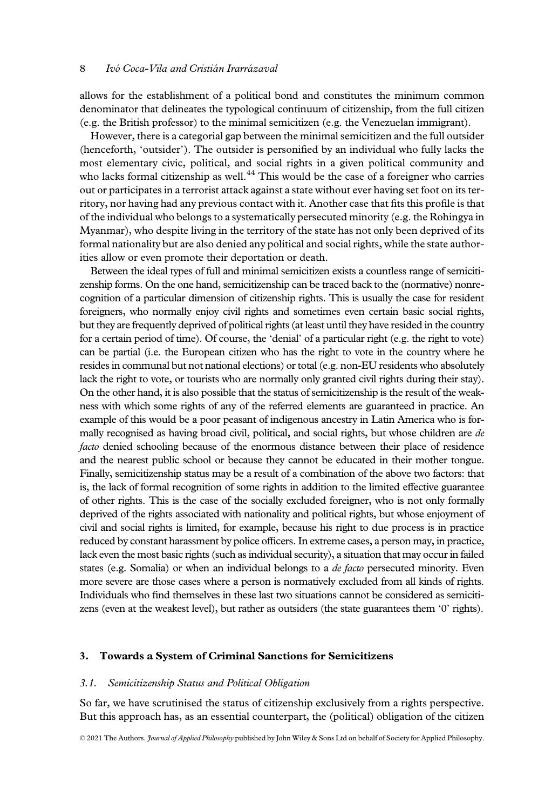allows for the establishment of a political bond and constitutes the minimum common denominator that delineates the typological continuum of citizenship, from the full citizen (e.g. the British professor) to the minimal semicitizen (e.g. the Venezuelan immigrant).

However, there is a categorial gap between the minimal semicitizen and the full outsider (henceforth, 'outsider'). The outsider is personified by an individual who fully lacks the most elementary civic, political, and social rights in a given political community and who lacks formal citizenship as well.<sup>44</sup> This would be the case of a foreigner who carries out or participates in a terrorist attack against a state without ever having set foot on its territory, nor having had any previous contact with it. Another case that fits this profile is that of the individual who belongs to a systematically persecuted minority (e.g. the Rohingya in Myanmar), who despite living in the territory of the state has not only been deprived of its formal nationality but are also denied any political and social rights, while the state authorities allow or even promote their deportation or death.

Between the ideal types of full and minimal semicitizen exists a countless range of semicitizenship forms. On the one hand, semicitizenship can be traced back to the (normative) nonrecognition of a particular dimension of citizenship rights. This is usually the case for resident foreigners, who normally enjoy civil rights and sometimes even certain basic social rights, but they are frequently deprived of political rights (at least until they have resided in the country for a certain period of time). Of course, the 'denial' of a particular right (e.g. the right to vote) can be partial (i.e. the European citizen who has the right to vote in the country where he resides in communal but not national elections) or total (e.g. non-EU residents who absolutely lack the right to vote, or tourists who are normally only granted civil rights during their stay). On the other hand, it is also possible that the status of semicitizenship is the result of the weakness with which some rights of any of the referred elements are guaranteed in practice. An example of this would be a poor peasant of indigenous ancestry in Latin America who is formally recognised as having broad civil, political, and social rights, but whose children are de *facto* denied schooling because of the enormous distance between their place of residence and the nearest public school or because they cannot be educated in their mother tongue. Finally, semicitizenship status may be a result of a combination of the above two factors: that is, the lack of formal recognition of some rights in addition to the limited effective guarantee of other rights. This is the case of the socially excluded foreigner, who is not only formally deprived of the rights associated with nationality and political rights, but whose enjoyment of civil and social rights is limited, for example, because his right to due process is in practice reduced by constant harassment by police officers. In extreme cases, a person may, in practice, lack even the most basic rights (such as individual security), a situation that may occur in failed states (e.g. Somalia) or when an individual belongs to a *de facto* persecuted minority. Even more severe are those cases where a person is normatively excluded from all kinds of rights. Individuals who find themselves in these last two situations cannot be considered as semicitizens (even at the weakest level), but rather as outsiders (the state guarantees them '0' rights).

### 3. Towards a System of Criminal Sanctions for Semicitizens

#### 3.1. Semicitizenship Status and Political Obligation

So far, we have scrutinised the status of citizenship exclusively from a rights perspective. But this approach has, as an essential counterpart, the (political) obligation of the citizen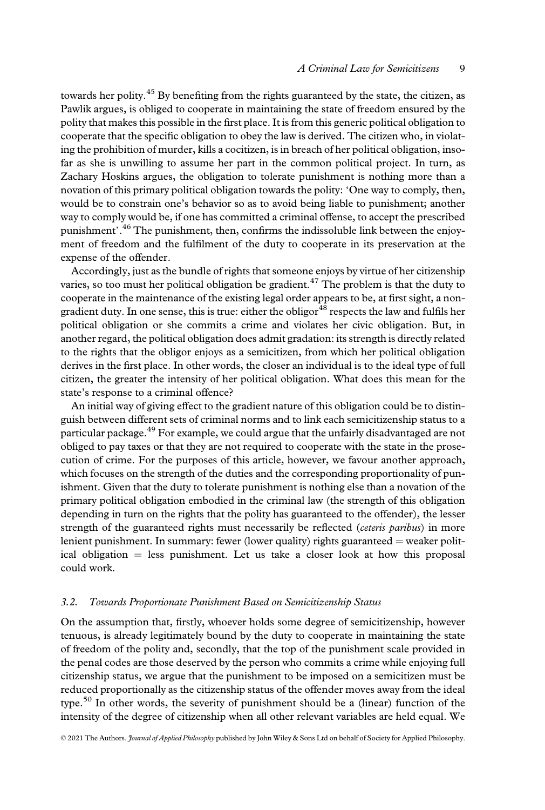towards her polity.<sup>45</sup> By benefiting from the rights guaranteed by the state, the citizen, as Pawlik argues, is obliged to cooperate in maintaining the state of freedom ensured by the polity that makes this possible in the first place. It is from this generic political obligation to cooperate that the specific obligation to obey the law is derived. The citizen who, in violating the prohibition of murder, kills a cocitizen, is in breach of her political obligation, insofar as she is unwilling to assume her part in the common political project. In turn, as Zachary Hoskins argues, the obligation to tolerate punishment is nothing more than a novation of this primary political obligation towards the polity: 'One way to comply, then, would be to constrain one's behavior so as to avoid being liable to punishment; another way to comply would be, if one has committed a criminal offense, to accept the prescribed punishment'.<sup>46</sup> The punishment, then, confirms the indissoluble link between the enjoyment of freedom and the fulfilment of the duty to cooperate in its preservation at the expense of the offender.

Accordingly, just as the bundle of rights that someone enjoys by virtue of her citizenship varies, so too must her political obligation be gradient.<sup>47</sup> The problem is that the duty to cooperate in the maintenance of the existing legal order appears to be, at first sight, a nongradient duty. In one sense, this is true: either the obligor $48$  respects the law and fulfils her political obligation or she commits a crime and violates her civic obligation. But, in another regard, the political obligation does admit gradation: its strength is directly related to the rights that the obligor enjoys as a semicitizen, from which her political obligation derives in the first place. In other words, the closer an individual is to the ideal type of full citizen, the greater the intensity of her political obligation. What does this mean for the state's response to a criminal offence?

An initial way of giving effect to the gradient nature of this obligation could be to distinguish between different sets of criminal norms and to link each semicitizenship status to a particular package.<sup>49</sup> For example, we could argue that the unfairly disadvantaged are not obliged to pay taxes or that they are not required to cooperate with the state in the prosecution of crime. For the purposes of this article, however, we favour another approach, which focuses on the strength of the duties and the corresponding proportionality of punishment. Given that the duty to tolerate punishment is nothing else than a novation of the primary political obligation embodied in the criminal law (the strength of this obligation depending in turn on the rights that the polity has guaranteed to the offender), the lesser strength of the guaranteed rights must necessarily be reflected (ceteris paribus) in more lenient punishment. In summary: fewer (lower quality) rights guaranteed = weaker political obligation = less punishment. Let us take a closer look at how this proposal could work.

#### 3.2. Towards Proportionate Punishment Based on Semicitizenship Status

On the assumption that, firstly, whoever holds some degree of semicitizenship, however tenuous, is already legitimately bound by the duty to cooperate in maintaining the state of freedom of the polity and, secondly, that the top of the punishment scale provided in the penal codes are those deserved by the person who commits a crime while enjoying full citizenship status, we argue that the punishment to be imposed on a semicitizen must be reduced proportionally as the citizenship status of the offender moves away from the ideal type.<sup>50</sup> In other words, the severity of punishment should be a (linear) function of the intensity of the degree of citizenship when all other relevant variables are held equal. We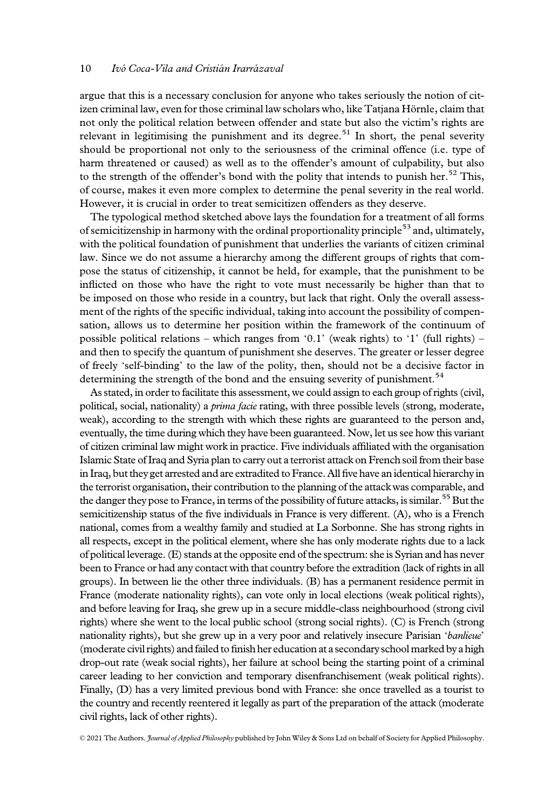argue that this is a necessary conclusion for anyone who takes seriously the notion of citizen criminal law, even for those criminal law scholars who, like Tatjana Hörnle, claim that not only the political relation between offender and state but also the victim's rights are relevant in legitimising the punishment and its degree.<sup>51</sup> In short, the penal severity should be proportional not only to the seriousness of the criminal offence (i.e. type of harm threatened or caused) as well as to the offender's amount of culpability, but also to the strength of the offender's bond with the polity that intends to punish her.<sup>52</sup> This, of course, makes it even more complex to determine the penal severity in the real world. However, it is crucial in order to treat semicitizen offenders as they deserve.

The typological method sketched above lays the foundation for a treatment of all forms of semicitizenship in harmony with the ordinal proportionality principle $53$  and, ultimately, with the political foundation of punishment that underlies the variants of citizen criminal law. Since we do not assume a hierarchy among the different groups of rights that compose the status of citizenship, it cannot be held, for example, that the punishment to be inflicted on those who have the right to vote must necessarily be higher than that to be imposed on those who reside in a country, but lack that right. Only the overall assessment of the rights of the specific individual, taking into account the possibility of compensation, allows us to determine her position within the framework of the continuum of possible political relations – which ranges from '0.1' (weak rights) to '1' (full rights) – and then to specify the quantum of punishment she deserves. The greater or lesser degree of freely 'self-binding' to the law of the polity, then, should not be a decisive factor in determining the strength of the bond and the ensuing severity of punishment.<sup>54</sup>

As stated, in order to facilitate this assessment, we could assign to each group of rights (civil, political, social, nationality) a prima facie rating, with three possible levels (strong, moderate, weak), according to the strength with which these rights are guaranteed to the person and, eventually, the time during which they have been guaranteed. Now, let us see how this variant of citizen criminal law might work in practice. Five individuals affiliated with the organisation Islamic State of Iraq and Syria plan to carry out a terrorist attack on French soil from their base in Iraq, but they get arrested and are extradited to France. All five have an identical hierarchy in the terrorist organisation, their contribution to the planning of the attack was comparable, and the danger they pose to France, in terms of the possibility of future attacks, is similar.<sup>55</sup> But the semicitizenship status of the five individuals in France is very different. (A), who is a French national, comes from a wealthy family and studied at La Sorbonne. She has strong rights in all respects, except in the political element, where she has only moderate rights due to a lack of political leverage. (E) stands at the opposite end of the spectrum: she is Syrian and has never been to France or had any contact with that country before the extradition (lack of rights in all groups). In between lie the other three individuals. (B) has a permanent residence permit in France (moderate nationality rights), can vote only in local elections (weak political rights), and before leaving for Iraq, she grew up in a secure middle-class neighbourhood (strong civil rights) where she went to the local public school (strong social rights). (C) is French (strong nationality rights), but she grew up in a very poor and relatively insecure Parisian 'banlieue' (moderate civil rights) and failed to finish her education at a secondary school marked by a high drop-out rate (weak social rights), her failure at school being the starting point of a criminal career leading to her conviction and temporary disenfranchisement (weak political rights). Finally, (D) has a very limited previous bond with France: she once travelled as a tourist to the country and recently reentered it legally as part of the preparation of the attack (moderate civil rights, lack of other rights).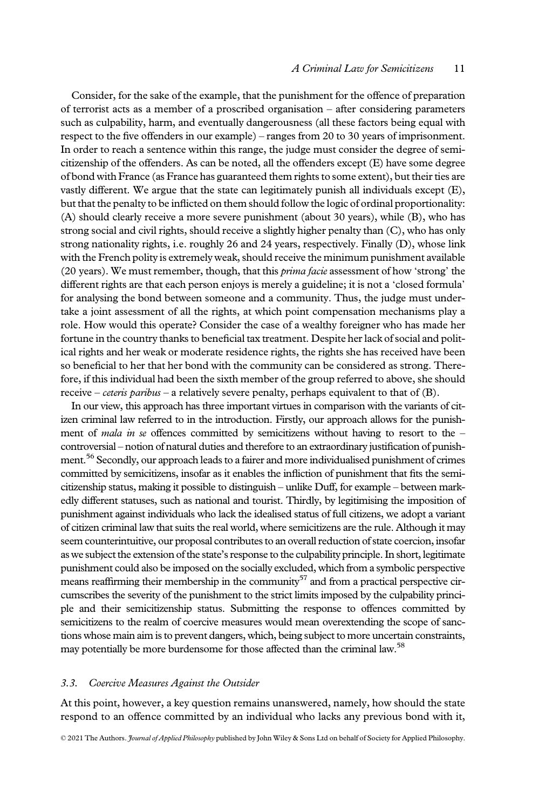Consider, for the sake of the example, that the punishment for the offence of preparation of terrorist acts as a member of a proscribed organisation – after considering parameters such as culpability, harm, and eventually dangerousness (all these factors being equal with respect to the five offenders in our example) – ranges from 20 to 30 years of imprisonment. In order to reach a sentence within this range, the judge must consider the degree of semicitizenship of the offenders. As can be noted, all the offenders except (E) have some degree of bond with France (as France has guaranteed them rights to some extent), but their ties are vastly different. We argue that the state can legitimately punish all individuals except (E), but that the penalty to be inflicted on them should follow the logic of ordinal proportionality: (A) should clearly receive a more severe punishment (about 30 years), while (B), who has strong social and civil rights, should receive a slightly higher penalty than (C), who has only strong nationality rights, i.e. roughly 26 and 24 years, respectively. Finally (D), whose link with the French polity is extremely weak, should receive the minimum punishment available (20 years). We must remember, though, that this prima facie assessment of how 'strong' the different rights are that each person enjoys is merely a guideline; it is not a 'closed formula' for analysing the bond between someone and a community. Thus, the judge must undertake a joint assessment of all the rights, at which point compensation mechanisms play a role. How would this operate? Consider the case of a wealthy foreigner who has made her fortune in the country thanks to beneficial tax treatment. Despite her lack of social and political rights and her weak or moderate residence rights, the rights she has received have been so beneficial to her that her bond with the community can be considered as strong. Therefore, if this individual had been the sixth member of the group referred to above, she should receive – ceteris paribus – a relatively severe penalty, perhaps equivalent to that of (B).

In our view, this approach has three important virtues in comparison with the variants of citizen criminal law referred to in the introduction. Firstly, our approach allows for the punishment of mala in se offences committed by semicitizens without having to resort to the  $$ controversial – notion of natural duties and therefore to an extraordinary justification of punishment.<sup>56</sup> Secondly, our approach leads to a fairer and more individualised punishment of crimes committed by semicitizens, insofar as it enables the infliction of punishment that fits the semicitizenship status, making it possible to distinguish – unlike Duff, for example – between markedly different statuses, such as national and tourist. Thirdly, by legitimising the imposition of punishment against individuals who lack the idealised status of full citizens, we adopt a variant of citizen criminal law that suits the real world, where semicitizens are the rule. Although it may seem counterintuitive, our proposal contributes to an overall reduction of state coercion, insofar as we subject the extension of the state's response to the culpability principle. In short, legitimate punishment could also be imposed on the socially excluded, which from a symbolic perspective means reaffirming their membership in the community<sup>57</sup> and from a practical perspective circumscribes the severity of the punishment to the strict limits imposed by the culpability principle and their semicitizenship status. Submitting the response to offences committed by semicitizens to the realm of coercive measures would mean overextending the scope of sanctions whose main aim is to prevent dangers, which, being subject to more uncertain constraints, may potentially be more burdensome for those affected than the criminal law.<sup>58</sup>

#### 3.3. Coercive Measures Against the Outsider

At this point, however, a key question remains unanswered, namely, how should the state respond to an offence committed by an individual who lacks any previous bond with it,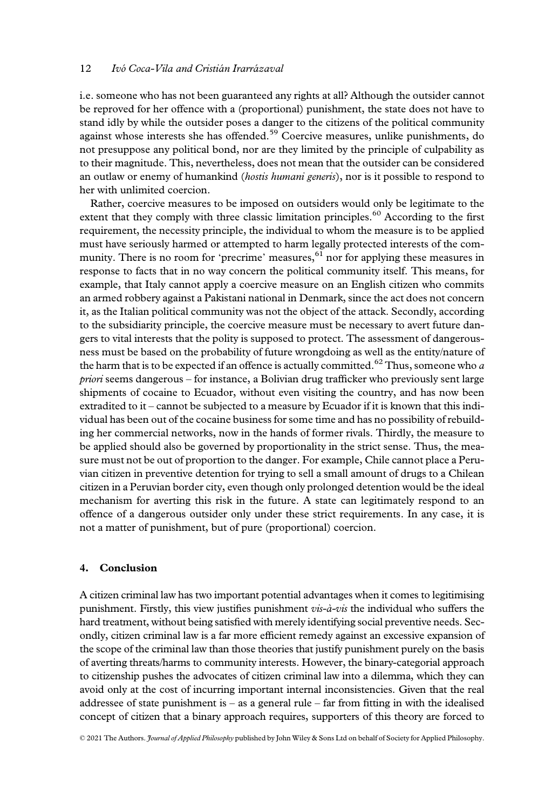i.e. someone who has not been guaranteed any rights at all? Although the outsider cannot be reproved for her offence with a (proportional) punishment, the state does not have to stand idly by while the outsider poses a danger to the citizens of the political community against whose interests she has offended.<sup>59</sup> Coercive measures, unlike punishments, do not presuppose any political bond, nor are they limited by the principle of culpability as to their magnitude. This, nevertheless, does not mean that the outsider can be considered an outlaw or enemy of humankind (*hostis humani generis*), nor is it possible to respond to her with unlimited coercion.

Rather, coercive measures to be imposed on outsiders would only be legitimate to the extent that they comply with three classic limitation principles.<sup>60</sup> According to the first requirement, the necessity principle, the individual to whom the measure is to be applied must have seriously harmed or attempted to harm legally protected interests of the community. There is no room for 'precrime' measures, $61$  nor for applying these measures in response to facts that in no way concern the political community itself. This means, for example, that Italy cannot apply a coercive measure on an English citizen who commits an armed robbery against a Pakistani national in Denmark, since the act does not concern it, as the Italian political community was not the object of the attack. Secondly, according to the subsidiarity principle, the coercive measure must be necessary to avert future dangers to vital interests that the polity is supposed to protect. The assessment of dangerousness must be based on the probability of future wrongdoing as well as the entity/nature of the harm that is to be expected if an offence is actually committed.<sup>62</sup> Thus, someone who a priori seems dangerous – for instance, a Bolivian drug trafficker who previously sent large shipments of cocaine to Ecuador, without even visiting the country, and has now been extradited to it – cannot be subjected to a measure by Ecuador if it is known that this individual has been out of the cocaine business for some time and has no possibility of rebuilding her commercial networks, now in the hands of former rivals. Thirdly, the measure to be applied should also be governed by proportionality in the strict sense. Thus, the measure must not be out of proportion to the danger. For example, Chile cannot place a Peruvian citizen in preventive detention for trying to sell a small amount of drugs to a Chilean citizen in a Peruvian border city, even though only prolonged detention would be the ideal mechanism for averting this risk in the future. A state can legitimately respond to an offence of a dangerous outsider only under these strict requirements. In any case, it is not a matter of punishment, but of pure (proportional) coercion.

#### 4. Conclusion

A citizen criminal law has two important potential advantages when it comes to legitimising punishment. Firstly, this view justifies punishment  $vis-\hat{a}-vis$  the individual who suffers the hard treatment, without being satisfied with merely identifying social preventive needs. Secondly, citizen criminal law is a far more efficient remedy against an excessive expansion of the scope of the criminal law than those theories that justify punishment purely on the basis of averting threats/harms to community interests. However, the binary-categorial approach to citizenship pushes the advocates of citizen criminal law into a dilemma, which they can avoid only at the cost of incurring important internal inconsistencies. Given that the real addressee of state punishment is  $-$  as a general rule  $-$  far from fitting in with the idealised concept of citizen that a binary approach requires, supporters of this theory are forced to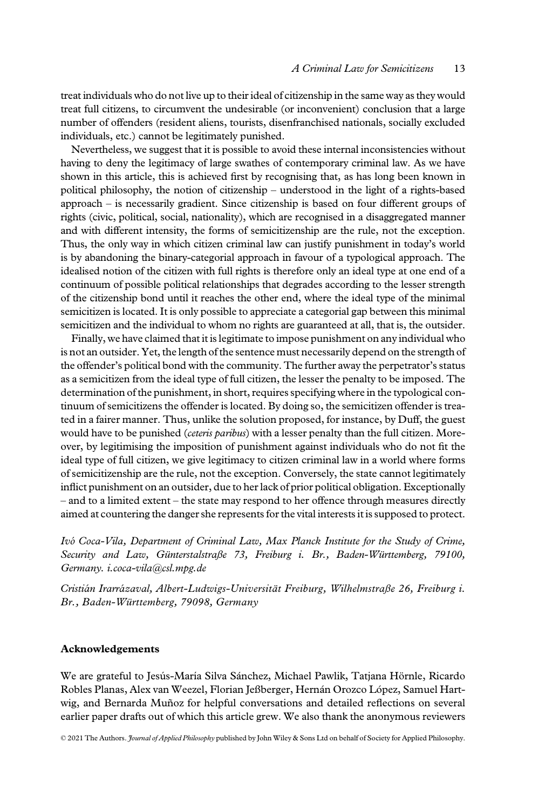treat individuals who do not live up to their ideal of citizenship in the same way as they would treat full citizens, to circumvent the undesirable (or inconvenient) conclusion that a large number of offenders (resident aliens, tourists, disenfranchised nationals, socially excluded individuals, etc.) cannot be legitimately punished.

Nevertheless, we suggest that it is possible to avoid these internal inconsistencies without having to deny the legitimacy of large swathes of contemporary criminal law. As we have shown in this article, this is achieved first by recognising that, as has long been known in political philosophy, the notion of citizenship – understood in the light of a rights-based approach – is necessarily gradient. Since citizenship is based on four different groups of rights (civic, political, social, nationality), which are recognised in a disaggregated manner and with different intensity, the forms of semicitizenship are the rule, not the exception. Thus, the only way in which citizen criminal law can justify punishment in today's world is by abandoning the binary-categorial approach in favour of a typological approach. The idealised notion of the citizen with full rights is therefore only an ideal type at one end of a continuum of possible political relationships that degrades according to the lesser strength of the citizenship bond until it reaches the other end, where the ideal type of the minimal semicitizen is located. It is only possible to appreciate a categorial gap between this minimal semicitizen and the individual to whom no rights are guaranteed at all, that is, the outsider.

Finally, we have claimed that it is legitimate to impose punishment on any individual who is not an outsider. Yet, the length of the sentence must necessarily depend on the strength of the offender's political bond with the community. The further away the perpetrator's status as a semicitizen from the ideal type of full citizen, the lesser the penalty to be imposed. The determination of the punishment, in short, requires specifying where in the typological continuum of semicitizens the offender is located. By doing so, the semicitizen offender is treated in a fairer manner. Thus, unlike the solution proposed, for instance, by Duff, the guest would have to be punished (ceteris paribus) with a lesser penalty than the full citizen. Moreover, by legitimising the imposition of punishment against individuals who do not fit the ideal type of full citizen, we give legitimacy to citizen criminal law in a world where forms of semicitizenship are the rule, not the exception. Conversely, the state cannot legitimately inflict punishment on an outsider, due to her lack of prior political obligation. Exceptionally – and to a limited extent – the state may respond to her offence through measures directly aimed at countering the danger she represents for the vital interests it is supposed to protect.

Ivo Coca-Vila, Department of Criminal Law, Max Planck Institute for the Study of Crime, Security and Law, Günterstalstraße 73, Freiburg i. Br., Baden-Württemberg, 79100, Germany. [i.coca-vila@csl.mpg.de](mailto:i.coca-vila@csl.mpg.de)

Cristián Irarrázaval, Albert-Ludwigs-Universität Freiburg, Wilhelmstraße 26, Freiburg i. Br., Baden-Württemberg, 79098, Germany

#### Acknowledgements

We are grateful to Jesús-María Silva Sanchez, Michael Pawlik, Tatjana Hörnle, Ricardo Robles Planas, Alex van Weezel, Florian Jeßberger, Hernan Orozco Lopez, Samuel Hart wig, and Bernarda Muñoz for helpful conversations and detailed reflections on several earlier paper drafts out of which this article grew. We also thank the anonymous reviewers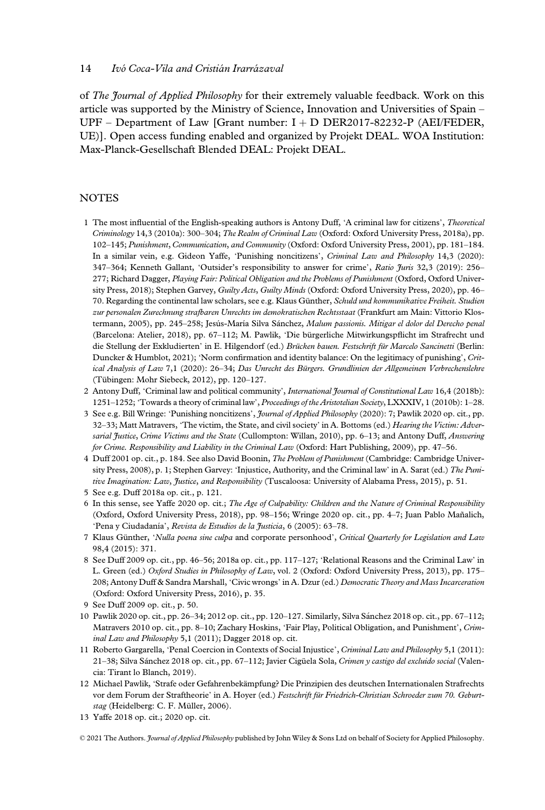of The Journal of Applied Philosophy for their extremely valuable feedback. Work on this article was supported by the Ministry of Science, Innovation and Universities of Spain – UPF – Department of Law [Grant number: I + D DER2017-82232-P (AEI/FEDER, UE)]. Open access funding enabled and organized by Projekt DEAL. WOA Institution: Max-Planck-Gesellschaft Blended DEAL: Projekt DEAL.

## **NOTES**

- 1 The most influential of the English-speaking authors is Antony Duff, 'A criminal law for citizens', Theoretical Criminology 14,3 (2010a): 300–304; The Realm of Criminal Law (Oxford: Oxford University Press, 2018a), pp. 102–145; Punishment, Communication, and Community (Oxford: Oxford University Press, 2001), pp. 181–184. In a similar vein, e.g. Gideon Yaffe, 'Punishing noncitizens', Criminal Law and Philosophy 14,3 (2020): 347–364; Kenneth Gallant, 'Outsider's responsibility to answer for crime', Ratio Juris 32,3 (2019): 256– 277; Richard Dagger, Playing Fair: Political Obligation and the Problems of Punishment (Oxford, Oxford University Press, 2018); Stephen Garvey, Guilty Acts, Guilty Minds (Oxford: Oxford University Press, 2020), pp. 46-70. Regarding the continental law scholars, see e.g. Klaus Günther, Schuld und kommunikative Freiheit. Studien zur personalen Zurechnung strafbaren Unrechts im demokratischen Rechtsstaat (Frankfurt am Main: Vittorio Klostermann, 2005), pp. 245-258; Jesús-María Silva Sánchez, Malum passionis. Mitigar el dolor del Derecho penal (Barcelona: Atelier, 2018), pp. 67–112; M. Pawlik, 'Die bürgerliche Mitwirkungspflicht im Strafrecht und die Stellung der Exkludierten' in E. Hilgendorf (ed.) Brücken bauen. Festschrift für Marcelo Sancinetti (Berlin: Duncker & Humblot, 2021); 'Norm confirmation and identity balance: On the legitimacy of punishing', Critical Analysis of Law 7,1 (2020): 26–34; Das Unrecht des Bürgers. Grundlinien der Allgemeinen Verbrechenslehre (Tübingen: Mohr Siebeck, 2012), pp. 120–127.
- 2 Antony Duff, 'Criminal law and political community', *International Journal of Constitutional Law* 16,4 (2018b): 1251–1252; 'Towards a theory of criminal law', Proceedings of the Aristotelian Society, LXXXIV, 1 (2010b): 1–28.
- 3 See e.g. Bill Wringe: 'Punishing noncitizens', Journal of Applied Philosophy (2020): 7; Pawlik 2020 op. cit., pp. 32–33; Matt Matravers, 'The victim, the State, and civil society' in A. Bottoms (ed.) Hearing the Victim: Adversarial Justice, Crime Victims and the State (Cullompton: Willan, 2010), pp. 6-13; and Antony Duff, Answering for Crime. Responsibility and Liability in the Criminal Law (Oxford: Hart Publishing, 2009), pp. 47–56.
- 4 Duff 2001 op. cit., p. 184. See also David Boonin, The Problem of Punishment (Cambridge: Cambridge University Press, 2008), p. 1; Stephen Garvey: 'Injustice, Authority, and the Criminal law' in A. Sarat (ed.) The Punitive Imagination: Law, Justice, and Responsibility (Tuscaloosa: University of Alabama Press, 2015), p. 51.
- 5 See e.g. Duff 2018a op. cit., p. 121.
- 6 In this sense, see Yaffe 2020 op. cit.; The Age of Culpability: Children and the Nature of Criminal Responsibility (Oxford, Oxford University Press, 2018), pp. 98–156; Wringe 2020 op. cit., pp. 4–7; Juan Pablo Mañalich, 'Pena y Ciudadanía', Revista de Estudios de la Justicia, 6 (2005): 63–78.
- 7 Klaus Günther, 'Nulla poena sine culpa and corporate personhood', Critical Quarterly for Legislation and Law 98,4 (2015): 371.
- 8 See Duff 2009 op. cit., pp. 46–56; 2018a op. cit., pp. 117–127; 'Relational Reasons and the Criminal Law' in L. Green (ed.) Oxford Studies in Philosophy of Law, vol. 2 (Oxford: Oxford University Press, 2013), pp. 175– 208; Antony Duff & Sandra Marshall, 'Civic wrongs' in A. Dzur (ed.) Democratic Theory and Mass Incarceration (Oxford: Oxford University Press, 2016), p. 35.
- 9 See Duff 2009 op. cit., p. 50.
- 10 Pawlik 2020 op. cit., pp. 26–34; 2012 op. cit., pp. 120–127. Similarly, Silva Sanchez 2018 op. cit., pp. 67–112; Matravers 2010 op. cit., pp. 8–10; Zachary Hoskins, 'Fair Play, Political Obligation, and Punishment', Criminal Law and Philosophy 5,1 (2011); Dagger 2018 op. cit.
- 11 Roberto Gargarella, 'Penal Coercion in Contexts of Social Injustice', Criminal Law and Philosophy 5,1 (2011): 21–38; Silva Sanchez 2018 op. cit., pp. 67–112; Javier Cigüela Sola, Crimen y castigo del excluido social (Valencia: Tirant lo Blanch, 2019).
- 12 Michael Pawlik, 'Strafe oder Gefahrenbekämpfung? Die Prinzipien des deutschen Internationalen Strafrechts vor dem Forum der Straftheorie' in A. Hoyer (ed.) Festschrift für Friedrich-Christian Schroeder zum 70. Geburtstag (Heidelberg: C. F. Müller, 2006).
- 13 Yaffe 2018 op. cit.; 2020 op. cit.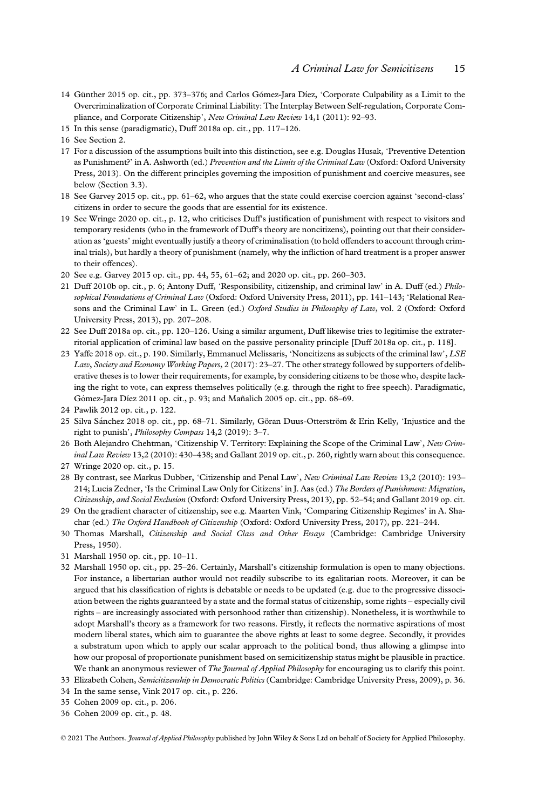- 14 Günther 2015 op. cit., pp. 373–376; and Carlos Gomez-Jara Díez, 'Corporate Culpability as a Limit to the Overcriminalization of Corporate Criminal Liability: The Interplay Between Self-regulation, Corporate Compliance, and Corporate Citizenship', New Criminal Law Review 14,1 (2011): 92-93.
- 15 In this sense (paradigmatic), Duff 2018a op. cit., pp. 117–126.
- 16 See Section 2.
- 17 For a discussion of the assumptions built into this distinction, see e.g. Douglas Husak, 'Preventive Detention as Punishment?' in A. Ashworth (ed.) Prevention and the Limits of the Criminal Law (Oxford: Oxford University Press, 2013). On the different principles governing the imposition of punishment and coercive measures, see below (Section 3.3).
- 18 See Garvey 2015 op. cit., pp. 61–62, who argues that the state could exercise coercion against 'second-class' citizens in order to secure the goods that are essential for its existence.
- 19 See Wringe 2020 op. cit., p. 12, who criticises Duff's justification of punishment with respect to visitors and temporary residents (who in the framework of Duff's theory are noncitizens), pointing out that their consideration as'guests' might eventually justify a theory of criminalisation (to hold offenders to account through criminal trials), but hardly a theory of punishment (namely, why the infliction of hard treatment is a proper answer to their offences).
- 20 See e.g. Garvey 2015 op. cit., pp. 44, 55, 61–62; and 2020 op. cit., pp. 260–303.
- 21 Duff 2010b op. cit., p. 6; Antony Duff, 'Responsibility, citizenship, and criminal law' in A. Duff (ed.) Philosophical Foundations of Criminal Law (Oxford: Oxford University Press, 2011), pp. 141-143; 'Relational Reasons and the Criminal Law' in L. Green (ed.) Oxford Studies in Philosophy of Law, vol. 2 (Oxford: Oxford University Press, 2013), pp. 207–208.
- 22 See Duff 2018a op. cit., pp. 120–126. Using a similar argument, Duff likewise tries to legitimise the extraterritorial application of criminal law based on the passive personality principle [Duff 2018a op. cit., p. 118].
- 23 Yaffe 2018 op. cit., p. 190. Similarly, Emmanuel Melissaris, 'Noncitizens as subjects of the criminal law', LSE Law, Society and Economy Working Papers, 2 (2017): 23–27. The other strategy followed by supporters of deliberative theses is to lower their requirements, for example, by considering citizens to be those who, despite lacking the right to vote, can express themselves politically (e.g. through the right to free speech). Paradigmatic, Gómez-Jara Díez 2011 op. cit., p. 93; and Mañalich 2005 op. cit., pp. 68-69.
- 24 Pawlik 2012 op. cit., p. 122.
- 25 Silva Sanchez 2018 op. cit., pp. 68–71. Similarly, Göran Duus-Otterström & Erin Kelly, 'Injustice and the right to punish', Philosophy Compass 14,2 (2019): 3–7.
- 26 Both Alejandro Chehtman, 'Citizenship V. Territory: Explaining the Scope of the Criminal Law', New Criminal Law Review 13,2 (2010): 430-438; and Gallant 2019 op. cit., p. 260, rightly warn about this consequence.
- 27 Wringe 2020 op. cit., p. 15.
- 28 By contrast, see Markus Dubber, 'Citizenship and Penal Law', New Criminal Law Review 13,2 (2010): 193– 214; Lucia Zedner, 'Is the Criminal Law Only for Citizens' in J. Aas (ed.) The Borders of Punishment: Migration, Citizenship, and Social Exclusion (Oxford: Oxford University Press, 2013), pp. 52–54; and Gallant 2019 op. cit.
- 29 On the gradient character of citizenship, see e.g. Maarten Vink, 'Comparing Citizenship Regimes' in A. Shachar (ed.) The Oxford Handbook of Citizenship (Oxford: Oxford University Press, 2017), pp. 221–244.
- 30 Thomas Marshall, Citizenship and Social Class and Other Essays (Cambridge: Cambridge University Press, 1950).
- 31 Marshall 1950 op. cit., pp. 10–11.
- 32 Marshall 1950 op. cit., pp. 25–26. Certainly, Marshall's citizenship formulation is open to many objections. For instance, a libertarian author would not readily subscribe to its egalitarian roots. Moreover, it can be argued that his classification of rights is debatable or needs to be updated (e.g. due to the progressive dissociation between the rights guaranteed by a state and the formal status of citizenship, some rights – especially civil rights – are increasingly associated with personhood rather than citizenship). Nonetheless, it is worthwhile to adopt Marshall's theory as a framework for two reasons. Firstly, it reflects the normative aspirations of most modern liberal states, which aim to guarantee the above rights at least to some degree. Secondly, it provides a substratum upon which to apply our scalar approach to the political bond, thus allowing a glimpse into how our proposal of proportionate punishment based on semicitizenship status might be plausible in practice. We thank an anonymous reviewer of The Journal of Applied Philosophy for encouraging us to clarify this point.
- 33 Elizabeth Cohen, Semicitizenship in Democratic Politics (Cambridge: Cambridge University Press, 2009), p. 36.
- 34 In the same sense, Vink 2017 op. cit., p. 226.
- 35 Cohen 2009 op. cit., p. 206.
- 36 Cohen 2009 op. cit., p. 48.

<sup>© 2021</sup> The Authors. *Journal of Applied Philosophy* published by John Wiley & Sons Ltd on behalf of Society for Applied Philosophy.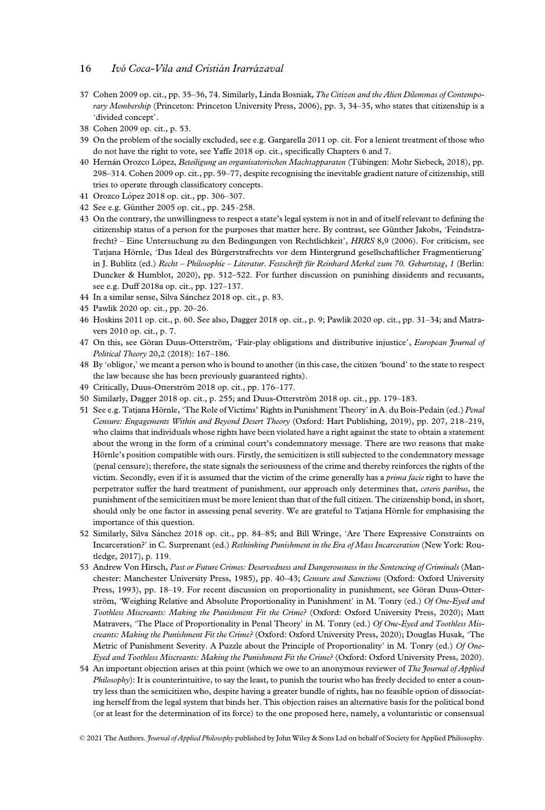- 37 Cohen 2009 op. cit., pp. 35–36, 74. Similarly, Linda Bosniak, The Citizen and the Alien Dilemmas of Contemporary Membership (Princeton: Princeton University Press, 2006), pp. 3, 34–35, who states that citizenship is a 'divided concept'.
- 38 Cohen 2009 op. cit., p. 53.
- 39 On the problem of the socially excluded, see e.g. Gargarella 2011 op. cit. For a lenient treatment of those who do not have the right to vote, see Yaffe 2018 op. cit., specifically Chapters 6 and 7.
- 40 Hernan Orozco Lopez, Beteiligung an organisatorischen Machtapparaten (Tübingen: Mohr Siebeck, 2018), pp. 298–314. Cohen 2009 op. cit., pp. 59–77, despite recognising the inevitable gradient nature of citizenship, still tries to operate through classificatory concepts.
- 41 Orozco López 2018 op. cit., pp. 306-307.
- 42 See e.g. Günther 2005 op. cit., pp. 245–258.
- 43 On the contrary, the unwillingness to respect a state's legal system is not in and of itself relevant to defining the citizenship status of a person for the purposes that matter here. By contrast, see Günther Jakobs, 'Feindstrafrecht? – Eine Untersuchung zu den Bedingungen von Rechtlichkeit', HRRS 8,9 (2006). For criticism, see Tatjana Hörnle, 'Das Ideal des Bürgerstrafrechts vor dem Hintergrund gesellschaftlicher Fragmentierung' in J. Bublitz (ed.) Recht – Philosophie – Literatur. Festschrift für Reinhard Merkel zum 70. Geburtstag, 1 (Berlin: Duncker & Humblot, 2020), pp. 512–522. For further discussion on punishing dissidents and recusants, see e.g. Duff 2018a op. cit., pp. 127–137.
- 44 In a similar sense, Silva Sanchez 2018 op. cit., p. 83.
- 45 Pawlik 2020 op. cit., pp. 20–26.
- 46 Hoskins 2011 op. cit., p. 60. See also, Dagger 2018 op. cit., p. 9; Pawlik 2020 op. cit., pp. 31–34; and Matravers 2010 op. cit., p. 7.
- 47 On this, see Göran Duus-Otterström, 'Fair-play obligations and distributive injustice', European Journal of Political Theory 20,2 (2018): 167–186.
- 48 By 'obligor,' we meant a person who is bound to another (in this case, the citizen 'bound' to the state to respect the law because she has been previously guaranteed rights).
- 49 Critically, Duus-Otterström 2018 op. cit., pp. 176–177.
- 50 Similarly, Dagger 2018 op. cit., p. 255; and Duus-Otterström 2018 op. cit., pp. 179–183.
- 51 See e.g. Tatjana Hörnle, 'The Role of Victims' Rights in Punishment Theory' in A. du Bois-Pedain (ed.) Penal Censure: Engagements Within and Beyond Desert Theory (Oxford: Hart Publishing, 2019), pp. 207, 218–219, who claims that individuals whose rights have been violated have a right against the state to obtain a statement about the wrong in the form of a criminal court's condemnatory message. There are two reasons that make Hörnle's position compatible with ours. Firstly, the semicitizen is still subjected to the condemnatory message (penal censure); therefore, the state signals the seriousness of the crime and thereby reinforces the rights of the victim. Secondly, even if it is assumed that the victim of the crime generally has a prima facie right to have the perpetrator suffer the hard treatment of punishment, our approach only determines that, ceteris paribus, the punishment of the semicitizen must be more lenient than that of the full citizen. The citizenship bond, in short, should only be one factor in assessing penal severity. We are grateful to Tatjana Hörnle for emphasising the importance of this question.
- 52 Similarly, Silva Sanchez 2018 op. cit., pp. 84–85; and Bill Wringe, 'Are There Expressive Constraints on Incarceration?' in C. Surprenant (ed.) Rethinking Punishment in the Era of Mass Incarceration (New York: Routledge, 2017), p. 119.
- 53 Andrew Von Hirsch, Past or Future Crimes: Deservedness and Dangerousness in the Sentencing of Criminals (Manchester: Manchester University Press, 1985), pp. 40–43; Censure and Sanctions (Oxford: Oxford University Press, 1993), pp. 18–19. For recent discussion on proportionality in punishment, see Göran Duus-Otterström, 'Weighing Relative and Absolute Proportionality in Punishment' in M. Tonry (ed.) Of One-Eyed and Toothless Miscreants: Making the Punishment Fit the Crime? (Oxford: Oxford University Press, 2020); Matt Matravers, 'The Place of Proportionality in Penal Theory' in M. Tonry (ed.) Of One-Eyed and Toothless Miscreants: Making the Punishment Fit the Crime? (Oxford: Oxford University Press, 2020); Douglas Husak, 'The Metric of Punishment Severity. A Puzzle about the Principle of Proportionality' in M. Tonry (ed.) Of One-Eyed and Toothless Miscreants: Making the Punishment Fit the Crime? (Oxford: Oxford University Press, 2020).
- 54 An important objection arises at this point (which we owe to an anonymous reviewer of The Journal of Applied Philosophy): It is counterintuitive, to say the least, to punish the tourist who has freely decided to enter a country less than the semicitizen who, despite having a greater bundle of rights, has no feasible option of dissociating herself from the legal system that binds her. This objection raises an alternative basis for the political bond (or at least for the determination of its force) to the one proposed here, namely, a voluntaristic or consensual